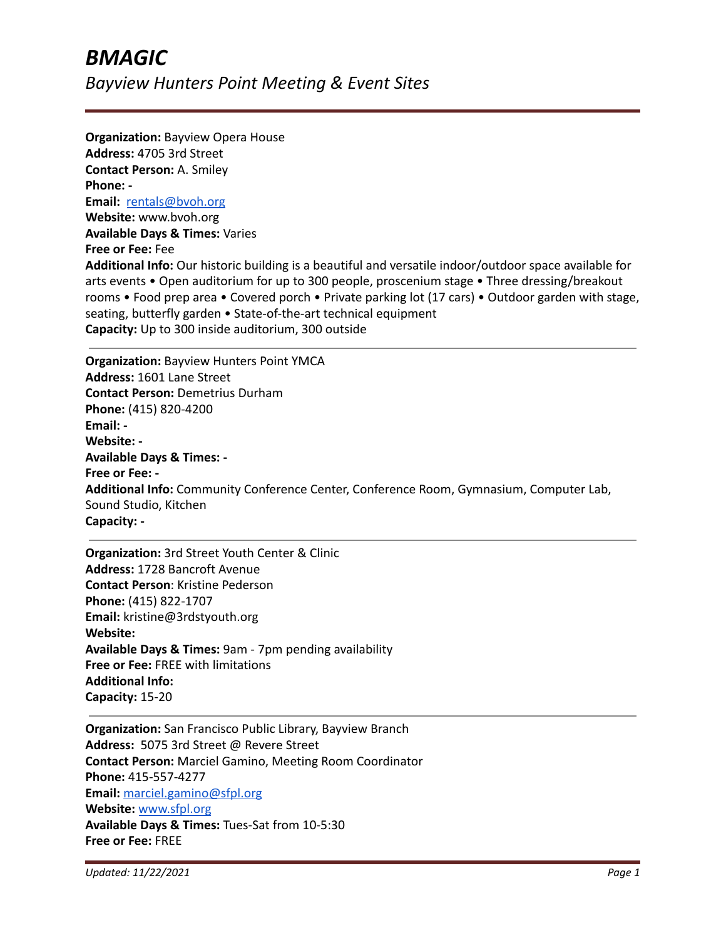**Organization:** Bayview Opera House **Address:** 4705 3rd Street **Contact Person:** A. Smiley **Phone: - Email:** [rentals@bvoh.org](mailto:rentals@bvoh.org) **Website:** www.bvoh.org **Available Days & Times:** Varies **Free or Fee:** Fee **Additional Info:** Our historic building is a beautiful and versatile indoor/outdoor space available for arts events • Open auditorium for up to 300 people, proscenium stage • Three dressing/breakout rooms • Food prep area • Covered porch • Private parking lot (17 cars) • Outdoor garden with stage, seating, butterfly garden • State-of-the-art technical equipment **Capacity:** Up to 300 inside auditorium, 300 outside

**Organization:** Bayview Hunters Point YMCA **Address:** 1601 Lane Street **Contact Person:** Demetrius Durham **Phone:** (415) 820-4200 **Email: - Website: - Available Days & Times: - Free or Fee: - Additional Info:** Community Conference Center, Conference Room, Gymnasium, Computer Lab, Sound Studio, Kitchen **Capacity: -**

**Organization:** 3rd Street Youth Center & Clinic **Address:** 1728 Bancroft Avenue **Contact Person**: Kristine Pederson **Phone:** (415) 822-1707 **Email:** kristine@3rdstyouth.org **Website: Available Days & Times:** 9am - 7pm pending availability **Free or Fee:** FREE with limitations **Additional Info: Capacity:** 15-20

**Organization:** San Francisco Public Library, Bayview Branch **Address:** 5075 3rd Street @ Revere Street **Contact Person:** Marciel Gamino, Meeting Room Coordinator **Phone:** 415-557-4277 **Email:** [marciel.gamino@sfpl.org](mailto:marciel.gamino@sfpl.org) **Website:** [www.sfpl.org](http://www.sfpl.org) **Available Days & Times:** Tues-Sat from 10-5:30 **Free or Fee:** FREE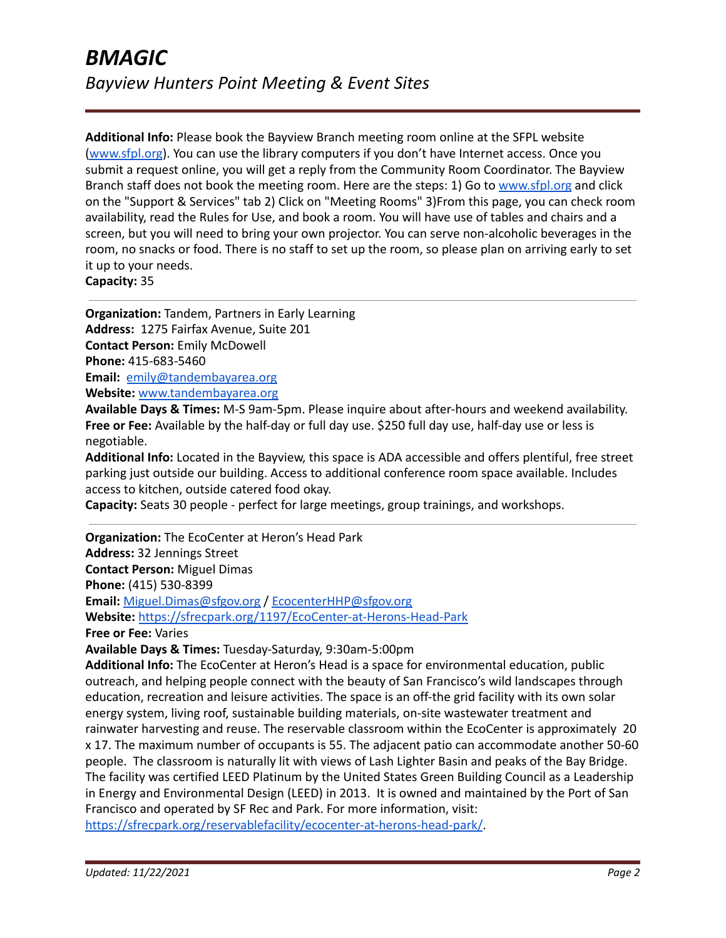**Additional Info:** Please book the Bayview Branch meeting room online at the SFPL website [\(www.sfpl.org](https://avanan.url-protection.com/v1/url?o=http%3A//www.sfpl.org&g=NGM3NmZmNTdhYWE0NTc5Yw==&h=ZmQ5NzVmZTE2YjZiNTVjYTI4YzUxOTc0ZDE0YmFmMTU0MDNhNjkzZGJmMTM2Mzc1M2MwODUxOTJhYTg5NzdlNw==&p=YXAzOnNmZHQyOmF2YW5hbjpvOjU1ZTI4Mzg1ZTM0NjBmYTA3NzdmNWIzMGJiZmMzMmEzOnYxOmg=)). You can use the library computers if you don't have Internet access. Once you submit a request online, you will get a reply from the Community Room Coordinator. The Bayview Branch staff does not book the meeting room. Here are the steps: 1) Go to [www.sfpl.org](https://avanan.url-protection.com/v1/url?o=http%3A//www.sfpl.org&g=N2VjYTExM2VmMmE4ZGU1MQ==&h=YmU3Zjk1NTllOTY3ZWVkMWUzZTdlNzA2Yjk1OWFhZjNmYjAwYWQyNDkxZmExMGExMjA0ODJhODk1OGMwZGEwNQ==&p=YXAzOnNmZHQyOmF2YW5hbjpvOjU1ZTI4Mzg1ZTM0NjBmYTA3NzdmNWIzMGJiZmMzMmEzOnYxOmg=) and click on the "Support & Services" tab 2) Click on "Meeting Rooms" 3)From this page, you can check room availability, read the Rules for Use, and book a room. You will have use of tables and chairs and a screen, but you will need to bring your own projector. You can serve non-alcoholic beverages in the room, no snacks or food. There is no staff to set up the room, so please plan on arriving early to set it up to your needs.

**Capacity:** 35

**Organization:** Tandem, Partners in Early Learning **Address:** 1275 Fairfax Avenue, Suite 201 **Contact Person:** Emily McDowell **Phone:** 415-683-5460 **Email:** [emily@tandembayarea.org](mailto:emily@tandembayarea.org) **Website:** [www.tandembayarea.org](http://www.tandembayarea.org)

**Available Days & Times:** M-S 9am-5pm. Please inquire about after-hours and weekend availability. **Free or Fee:** Available by the half-day or full day use. \$250 full day use, half-day use or less is negotiable.

**Additional Info:** Located in the Bayview, this space is ADA accessible and offers plentiful, free street parking just outside our building. Access to additional conference room space available. Includes access to kitchen, outside catered food okay.

**Capacity:** Seats 30 people - perfect for large meetings, group trainings, and workshops.

**Organization:** The EcoCenter at Heron's Head Park **Address:** 32 Jennings Street **Contact Person:** Miguel Dimas **Phone:** (415) 530-8399 **Email:** [Miguel.Dimas@sfgov.org](mailto:Miguel.Dimas@sfgov.org) / [EcocenterHHP@sfgov.org](mailto:EcocenterHHP@sfgov.org) **Website:** <https://sfrecpark.org/1197/EcoCenter-at-Herons-Head-Park> **Free or Fee:** Varies

**Available Days & Times:** Tuesday-Saturday, 9:30am-5:00pm

**Additional Info:** The EcoCenter at Heron's Head is a space for environmental education, public outreach, and helping people connect with the beauty of San Francisco's wild landscapes through education, recreation and leisure activities. The space is an off-the grid facility with its own solar energy system, living roof, sustainable building materials, on-site wastewater treatment and rainwater harvesting and reuse. The reservable classroom within the EcoCenter is approximately 20 x 17. The maximum number of occupants is 55. The adjacent patio can accommodate another 50-60 people. The classroom is naturally lit with views of Lash Lighter Basin and peaks of the Bay Bridge. The facility was certified LEED Platinum by the United States Green Building Council as a Leadership in Energy and Environmental Design (LEED) in 2013. It is owned and maintained by the Port of San Francisco and operated by SF Rec and Park. For more information, visit:

<https://sfrecpark.org/reservablefacility/ecocenter-at-herons-head-park/>.